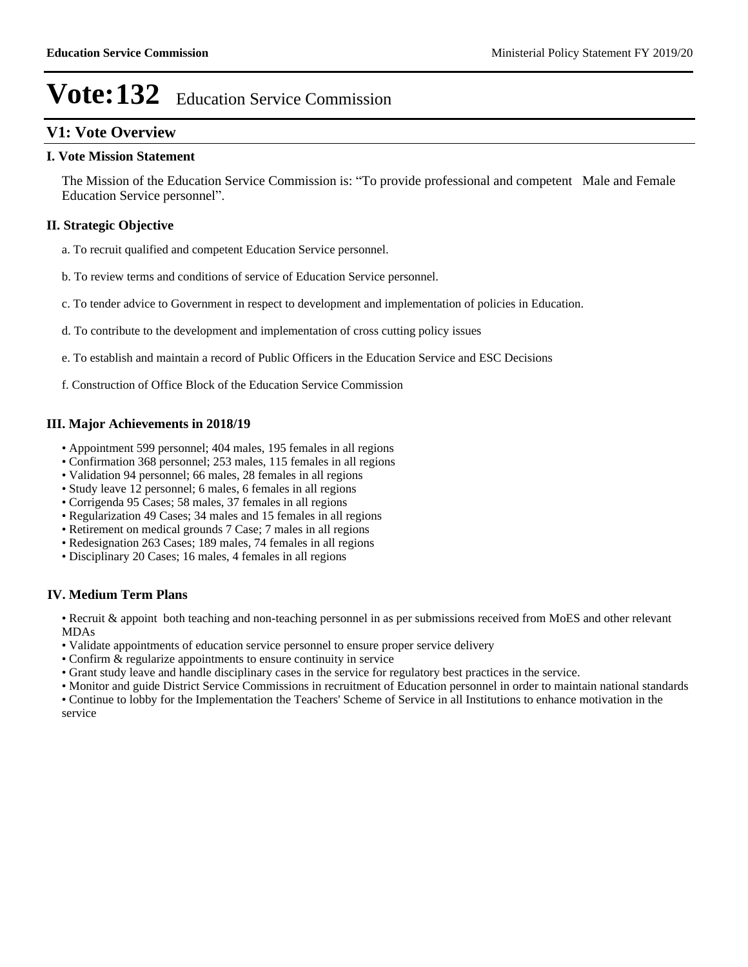# **V1: Vote Overview**

#### **I. Vote Mission Statement**

The Mission of the Education Service Commission is: "To provide professional and competent Male and Female Education Service personnel".

### **II. Strategic Objective**

- a. To recruit qualified and competent Education Service personnel.
- b. To review terms and conditions of service of Education Service personnel.
- c. To tender advice to Government in respect to development and implementation of policies in Education.

#### d. To contribute to the development and implementation of cross cutting policy issues

- e. To establish and maintain a record of Public Officers in the Education Service and ESC Decisions
- f. Construction of Office Block of the Education Service Commission

#### **III. Major Achievements in 2018/19**

- Appointment 599 personnel; 404 males, 195 females in all regions
- Confirmation 368 personnel; 253 males, 115 females in all regions
- Validation 94 personnel; 66 males, 28 females in all regions
- Study leave 12 personnel; 6 males, 6 females in all regions
- Corrigenda 95 Cases; 58 males, 37 females in all regions
- Regularization 49 Cases; 34 males and 15 females in all regions
- Retirement on medical grounds 7 Case; 7 males in all regions
- Redesignation 263 Cases; 189 males, 74 females in all regions
- Disciplinary 20 Cases; 16 males, 4 females in all regions

#### **IV. Medium Term Plans**

Recruit & appoint both teaching and non-teaching personnel in as per submissions received from MoES and other relevant MDAs

- Validate appointments of education service personnel to ensure proper service delivery
- Confirm & regularize appointments to ensure continuity in service
- Grant study leave and handle disciplinary cases in the service for regulatory best practices in the service.

Monitor and guide District Service Commissions in recruitment of Education personnel in order to maintain national standards

Continue to lobby for the Implementation the Teachers' Scheme of Service in all Institutions to enhance motivation in the service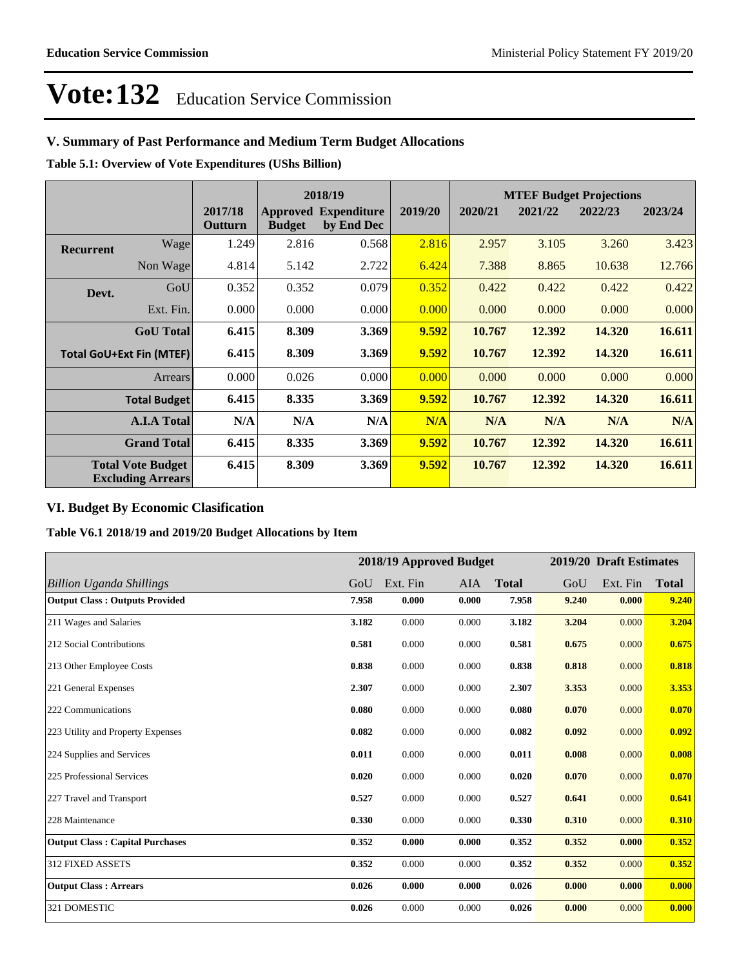# **V. Summary of Past Performance and Medium Term Budget Allocations**

**Table 5.1: Overview of Vote Expenditures (UShs Billion)**

|                                 |                                                      |                    | 2018/19       |                                           |         |         |         | <b>MTEF Budget Projections</b> |         |
|---------------------------------|------------------------------------------------------|--------------------|---------------|-------------------------------------------|---------|---------|---------|--------------------------------|---------|
|                                 |                                                      | 2017/18<br>Outturn | <b>Budget</b> | <b>Approved Expenditure</b><br>by End Dec | 2019/20 | 2020/21 | 2021/22 | 2022/23                        | 2023/24 |
| <b>Recurrent</b>                | Wage                                                 | 1.249              | 2.816         | 0.568                                     | 2.816   | 2.957   | 3.105   | 3.260                          | 3.423   |
|                                 | Non Wage                                             | 4.814              | 5.142         | 2.722                                     | 6.424   | 7.388   | 8.865   | 10.638                         | 12.766  |
| Devt.                           | GoU                                                  | 0.352              | 0.352         | 0.079                                     | 0.352   | 0.422   | 0.422   | 0.422                          | 0.422   |
|                                 | Ext. Fin.                                            | 0.000              | 0.000         | 0.000                                     | 0.000   | 0.000   | 0.000   | 0.000                          | 0.000   |
|                                 | <b>GoU</b> Total                                     | 6.415              | 8.309         | 3.369                                     | 9.592   | 10.767  | 12.392  | 14.320                         | 16.611  |
| <b>Total GoU+Ext Fin (MTEF)</b> |                                                      | 6.415              | 8.309         | 3.369                                     | 9.592   | 10.767  | 12.392  | 14.320                         | 16.611  |
|                                 | Arrears                                              | 0.000              | 0.026         | 0.000                                     | 0.000   | 0.000   | 0.000   | 0.000                          | 0.000   |
|                                 | <b>Total Budget</b>                                  | 6.415              | 8.335         | 3.369                                     | 9.592   | 10.767  | 12.392  | 14.320                         | 16.611  |
|                                 | <b>A.I.A Total</b>                                   | N/A                | N/A           | N/A                                       | N/A     | N/A     | N/A     | N/A                            | N/A     |
|                                 | <b>Grand Total</b>                                   | 6.415              | 8.335         | 3.369                                     | 9.592   | 10.767  | 12.392  | 14.320                         | 16.611  |
|                                 | <b>Total Vote Budget</b><br><b>Excluding Arrears</b> | 6.415              | 8.309         | 3.369                                     | 9.592   | 10.767  | 12.392  | 14.320                         | 16.611  |

## **VI. Budget By Economic Clasification**

**Table V6.1 2018/19 and 2019/20 Budget Allocations by Item**

|                                        |       | 2018/19 Approved Budget |       |              |       | 2019/20 Draft Estimates |              |
|----------------------------------------|-------|-------------------------|-------|--------------|-------|-------------------------|--------------|
| Billion Uganda Shillings               | GoU   | Ext. Fin                | AIA   | <b>Total</b> | GoU   | Ext. Fin                | <b>Total</b> |
| <b>Output Class: Outputs Provided</b>  | 7.958 | 0.000                   | 0.000 | 7.958        | 9.240 | 0.000                   | 9.240        |
| 211 Wages and Salaries                 | 3.182 | 0.000                   | 0.000 | 3.182        | 3.204 | 0.000                   | 3.204        |
| 212 Social Contributions               | 0.581 | 0.000                   | 0.000 | 0.581        | 0.675 | 0.000                   | 0.675        |
| 213 Other Employee Costs               | 0.838 | 0.000                   | 0.000 | 0.838        | 0.818 | 0.000                   | 0.818        |
| 221 General Expenses                   | 2.307 | 0.000                   | 0.000 | 2.307        | 3.353 | 0.000                   | 3.353        |
| 222 Communications                     | 0.080 | 0.000                   | 0.000 | 0.080        | 0.070 | 0.000                   | 0.070        |
| 223 Utility and Property Expenses      | 0.082 | 0.000                   | 0.000 | 0.082        | 0.092 | 0.000                   | 0.092        |
| 224 Supplies and Services              | 0.011 | 0.000                   | 0.000 | 0.011        | 0.008 | 0.000                   | 0.008        |
| 225 Professional Services              | 0.020 | 0.000                   | 0.000 | 0.020        | 0.070 | 0.000                   | 0.070        |
| 227 Travel and Transport               | 0.527 | 0.000                   | 0.000 | 0.527        | 0.641 | 0.000                   | 0.641        |
| 228 Maintenance                        | 0.330 | 0.000                   | 0.000 | 0.330        | 0.310 | 0.000                   | 0.310        |
| <b>Output Class: Capital Purchases</b> | 0.352 | 0.000                   | 0.000 | 0.352        | 0.352 | 0.000                   | 0.352        |
| <b>312 FIXED ASSETS</b>                | 0.352 | 0.000                   | 0.000 | 0.352        | 0.352 | 0.000                   | 0.352        |
| <b>Output Class: Arrears</b>           | 0.026 | 0.000                   | 0.000 | 0.026        | 0.000 | 0.000                   | 0.000        |
| 321 DOMESTIC                           | 0.026 | 0.000                   | 0.000 | 0.026        | 0.000 | 0.000                   | 0.000        |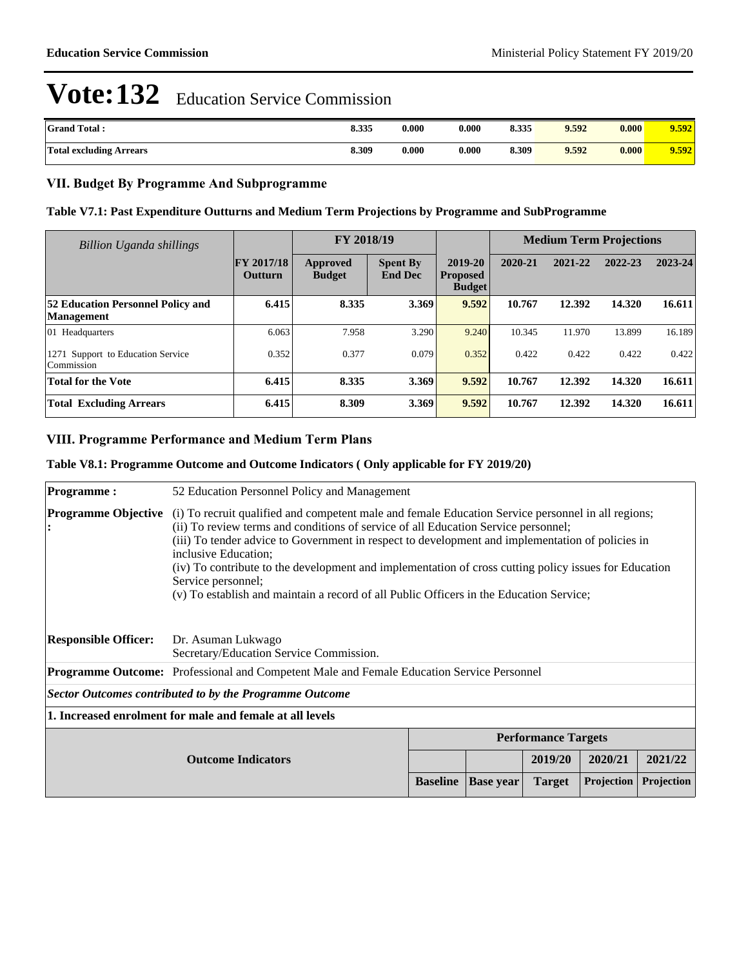| <b>Grand Total:</b>            | 8.335 | 0.000 | 0.000 | 8.335 | 9.592 | 0.000 | 9.592 |
|--------------------------------|-------|-------|-------|-------|-------|-------|-------|
| <b>Total excluding Arrears</b> | 8.309 | 0.000 | 0.000 | 8.309 | 9.592 | 0.000 | 9.592 |

### **VII. Budget By Programme And Subprogramme**

#### **Table V7.1: Past Expenditure Outturns and Medium Term Projections by Programme and SubProgramme**

| Billion Uganda shillings                                      |                              | FY 2018/19                |                                   |                                             | <b>Medium Term Projections</b> |         |         |         |
|---------------------------------------------------------------|------------------------------|---------------------------|-----------------------------------|---------------------------------------------|--------------------------------|---------|---------|---------|
|                                                               | <b>FY 2017/18</b><br>Outturn | Approved<br><b>Budget</b> | <b>Spent By</b><br><b>End Dec</b> | 2019-20<br><b>Proposed</b><br><b>Budget</b> | 2020-21                        | 2021-22 | 2022-23 | 2023-24 |
| <b>52 Education Personnel Policy and</b><br><b>Management</b> | 6.415                        | 8.335                     | 3.369                             | 9.592                                       | 10.767                         | 12.392  | 14.320  | 16.611  |
| 01 Headquarters                                               | 6.063                        | 7.958                     | 3.290                             | 9.240                                       | 10.345                         | 11.970  | 13.899  | 16.189  |
| 1271 Support to Education Service<br>Commission               | 0.352                        | 0.377                     | 0.079                             | 0.352                                       | 0.422                          | 0.422   | 0.422   | 0.422   |
| <b>Total for the Vote</b>                                     | 6.415                        | 8.335                     | 3.369                             | 9.592                                       | 10.767                         | 12.392  | 14.320  | 16.611  |
| <b>Total Excluding Arrears</b>                                | 6.415                        | 8.309                     | 3.369                             | 9.592                                       | 10.767                         | 12.392  | 14.320  | 16.611  |

#### **VIII. Programme Performance and Medium Term Plans**

#### **Table V8.1: Programme Outcome and Outcome Indicators ( Only applicable for FY 2019/20)**

| <b>Programme:</b>           | 52 Education Personnel Policy and Management                                                                                                                                                                                                                                                                                                                                                                                                                                                                                                   |                 |                  |               |            |            |  |  |
|-----------------------------|------------------------------------------------------------------------------------------------------------------------------------------------------------------------------------------------------------------------------------------------------------------------------------------------------------------------------------------------------------------------------------------------------------------------------------------------------------------------------------------------------------------------------------------------|-----------------|------------------|---------------|------------|------------|--|--|
| <b>Programme Objective</b>  | (i) To recruit qualified and competent male and female Education Service personnel in all regions;<br>(ii) To review terms and conditions of service of all Education Service personnel;<br>(iii) To tender advice to Government in respect to development and implementation of policies in<br>inclusive Education:<br>(iv) To contribute to the development and implementation of cross cutting policy issues for Education<br>Service personnel;<br>(v) To establish and maintain a record of all Public Officers in the Education Service; |                 |                  |               |            |            |  |  |
| <b>Responsible Officer:</b> | Dr. Asuman Lukwago<br>Secretary/Education Service Commission.                                                                                                                                                                                                                                                                                                                                                                                                                                                                                  |                 |                  |               |            |            |  |  |
|                             | <b>Programme Outcome:</b> Professional and Competent Male and Female Education Service Personnel                                                                                                                                                                                                                                                                                                                                                                                                                                               |                 |                  |               |            |            |  |  |
|                             | Sector Outcomes contributed to by the Programme Outcome                                                                                                                                                                                                                                                                                                                                                                                                                                                                                        |                 |                  |               |            |            |  |  |
|                             | 1. Increased enrolment for male and female at all levels                                                                                                                                                                                                                                                                                                                                                                                                                                                                                       |                 |                  |               |            |            |  |  |
|                             | <b>Performance Targets</b>                                                                                                                                                                                                                                                                                                                                                                                                                                                                                                                     |                 |                  |               |            |            |  |  |
|                             |                                                                                                                                                                                                                                                                                                                                                                                                                                                                                                                                                |                 | 2019/20          | 2020/21       | 2021/22    |            |  |  |
|                             |                                                                                                                                                                                                                                                                                                                                                                                                                                                                                                                                                | <b>Baseline</b> | <b>Base</b> year | <b>Target</b> | Projection | Projection |  |  |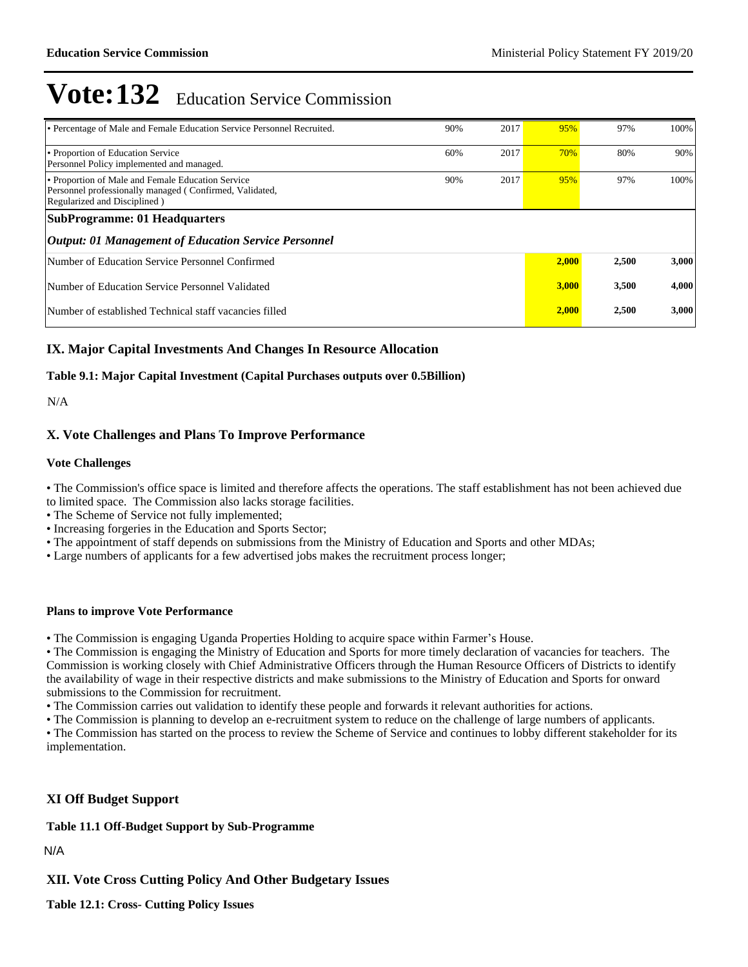| • Percentage of Male and Female Education Service Personnel Recruited.                                                                       | 90% | 2017 | 95%   | 97%   | 100%  |
|----------------------------------------------------------------------------------------------------------------------------------------------|-----|------|-------|-------|-------|
| • Proportion of Education Service<br>Personnel Policy implemented and managed.                                                               | 60% | 2017 | 70%   | 80%   | 90%   |
| • Proportion of Male and Female Education Service<br>Personnel professionally managed (Confirmed, Validated,<br>Regularized and Disciplined) | 90% | 2017 | 95%   | 97%   | 100%  |
| <b>SubProgramme: 01 Headquarters</b>                                                                                                         |     |      |       |       |       |
| <b>Output: 01 Management of Education Service Personnel</b>                                                                                  |     |      |       |       |       |
| Number of Education Service Personnel Confirmed                                                                                              |     |      | 2,000 | 2,500 | 3,000 |
| Number of Education Service Personnel Validated                                                                                              |     |      | 3.000 | 3,500 | 4,000 |
| Number of established Technical staff vacancies filled                                                                                       |     |      | 2,000 | 2,500 | 3,000 |

### **IX. Major Capital Investments And Changes In Resource Allocation**

#### **Table 9.1: Major Capital Investment (Capital Purchases outputs over 0.5Billion)**

N/A

#### **X. Vote Challenges and Plans To Improve Performance**

#### **Vote Challenges**

The Commission's office space is limited and therefore affects the operations. The staff establishment has not been achieved due to limited space. The Commission also lacks storage facilities.

- The Scheme of Service not fully implemented;
- Increasing forgeries in the Education and Sports Sector;
- The appointment of staff depends on submissions from the Ministry of Education and Sports and other MDAs;
- Large numbers of applicants for a few advertised jobs makes the recruitment process longer;

#### **Plans to improve Vote Performance**

• The Commission is engaging Uganda Properties Holding to acquire space within Farmer's House.

The Commission is engaging the Ministry of Education and Sports for more timely declaration of vacancies for teachers. The Commission is working closely with Chief Administrative Officers through the Human Resource Officers of Districts to identify the availability of wage in their respective districts and make submissions to the Ministry of Education and Sports for onward submissions to the Commission for recruitment.

The Commission carries out validation to identify these people and forwards it relevant authorities for actions.

The Commission is planning to develop an e-recruitment system to reduce on the challenge of large numbers of applicants.

The Commission has started on the process to review the Scheme of Service and continues to lobby different stakeholder for its implementation.

#### **XI Off Budget Support**

**Table 11.1 Off-Budget Support by Sub-Programme**

N/A

**XII. Vote Cross Cutting Policy And Other Budgetary Issues**

**Table 12.1: Cross- Cutting Policy Issues**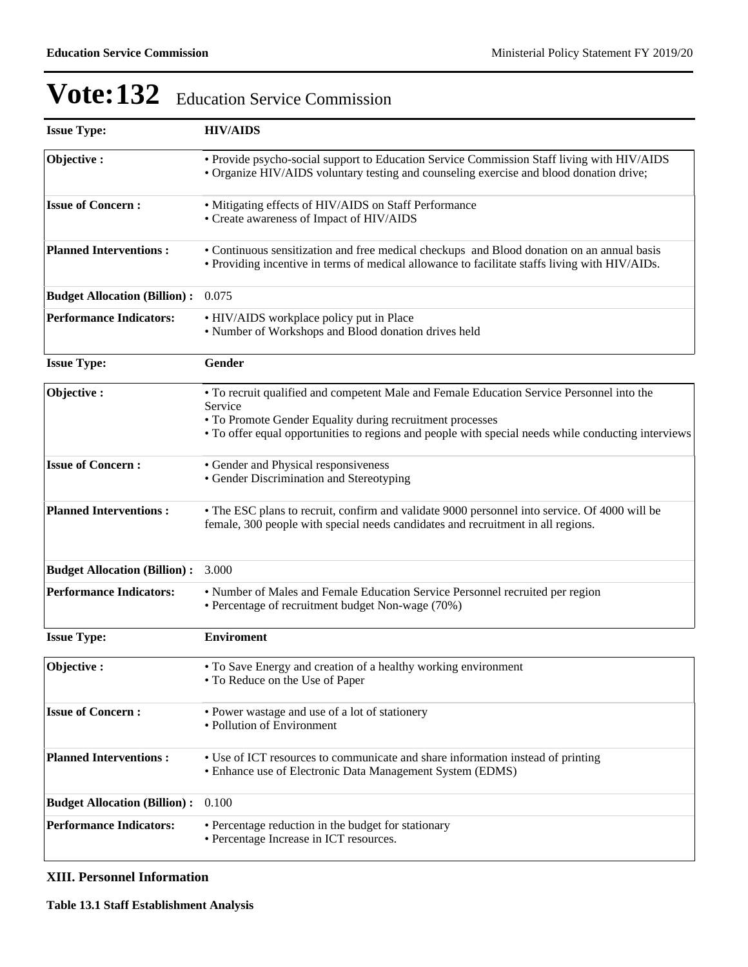| <b>Issue Type:</b>                  | <b>HIV/AIDS</b>                                                                                                                                                                                                                                                          |
|-------------------------------------|--------------------------------------------------------------------------------------------------------------------------------------------------------------------------------------------------------------------------------------------------------------------------|
| Objective:                          | • Provide psycho-social support to Education Service Commission Staff living with HIV/AIDS<br>• Organize HIV/AIDS voluntary testing and counseling exercise and blood donation drive;                                                                                    |
| <b>Issue of Concern:</b>            | • Mitigating effects of HIV/AIDS on Staff Performance<br>• Create awareness of Impact of HIV/AIDS                                                                                                                                                                        |
| <b>Planned Interventions:</b>       | • Continuous sensitization and free medical checkups and Blood donation on an annual basis<br>• Providing incentive in terms of medical allowance to facilitate staffs living with HIV/AIDs.                                                                             |
| <b>Budget Allocation (Billion):</b> | 0.075                                                                                                                                                                                                                                                                    |
| <b>Performance Indicators:</b>      | • HIV/AIDS workplace policy put in Place<br>• Number of Workshops and Blood donation drives held                                                                                                                                                                         |
| <b>Issue Type:</b>                  | Gender                                                                                                                                                                                                                                                                   |
| Objective:                          | • To recruit qualified and competent Male and Female Education Service Personnel into the<br>Service<br>• To Promote Gender Equality during recruitment processes<br>• To offer equal opportunities to regions and people with special needs while conducting interviews |
| <b>Issue of Concern:</b>            | • Gender and Physical responsiveness<br>• Gender Discrimination and Stereotyping                                                                                                                                                                                         |
| <b>Planned Interventions:</b>       | • The ESC plans to recruit, confirm and validate 9000 personnel into service. Of 4000 will be<br>female, 300 people with special needs candidates and recruitment in all regions.                                                                                        |
| <b>Budget Allocation (Billion):</b> | 3.000                                                                                                                                                                                                                                                                    |
| <b>Performance Indicators:</b>      | • Number of Males and Female Education Service Personnel recruited per region<br>• Percentage of recruitment budget Non-wage (70%)                                                                                                                                       |
| <b>Issue Type:</b>                  | <b>Enviroment</b>                                                                                                                                                                                                                                                        |
| Objective:                          | • To Save Energy and creation of a healthy working environment<br>• To Reduce on the Use of Paper                                                                                                                                                                        |
| <b>Issue of Concern:</b>            | • Power wastage and use of a lot of stationery<br>• Pollution of Environment                                                                                                                                                                                             |
| <b>Planned Interventions:</b>       | • Use of ICT resources to communicate and share information instead of printing<br>• Enhance use of Electronic Data Management System (EDMS)                                                                                                                             |
| <b>Budget Allocation (Billion):</b> | 0.100                                                                                                                                                                                                                                                                    |
| <b>Performance Indicators:</b>      | • Percentage reduction in the budget for stationary<br>• Percentage Increase in ICT resources.                                                                                                                                                                           |

## **XIII. Personnel Information**

**Table 13.1 Staff Establishment Analysis**